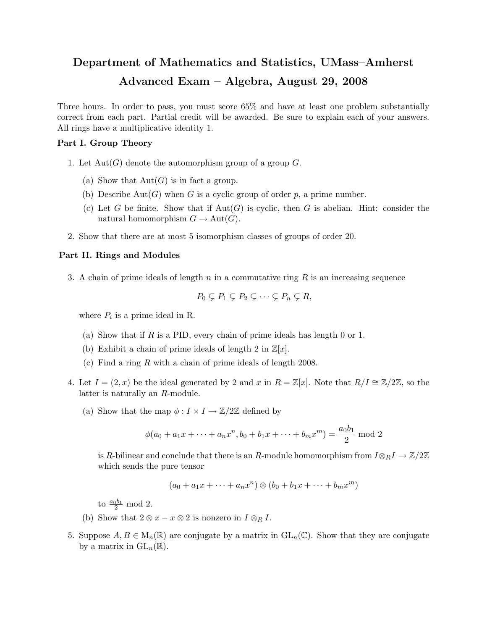## Department of Mathematics and Statistics, UMass–Amherst Advanced Exam – Algebra, August 29, 2008

Three hours. In order to pass, you must score 65% and have at least one problem substantially correct from each part. Partial credit will be awarded. Be sure to explain each of your answers. All rings have a multiplicative identity 1.

## Part I. Group Theory

- 1. Let  $Aut(G)$  denote the automorphism group of a group G.
	- (a) Show that  $Aut(G)$  is in fact a group.
	- (b) Describe Aut $(G)$  when G is a cyclic group of order p, a prime number.
	- (c) Let G be finite. Show that if  $Aut(G)$  is cyclic, then G is abelian. Hint: consider the natural homomorphism  $G \to \text{Aut}(G)$ .
- 2. Show that there are at most 5 isomorphism classes of groups of order 20.

## Part II. Rings and Modules

3. A chain of prime ideals of length n in a commutative ring  $R$  is an increasing sequence

$$
P_0 \subsetneq P_1 \subsetneq P_2 \subsetneq \cdots \subsetneq P_n \subsetneq R,
$$

where  $P_i$  is a prime ideal in R.

- (a) Show that if R is a PID, every chain of prime ideals has length 0 or 1.
- (b) Exhibit a chain of prime ideals of length 2 in  $\mathbb{Z}[x]$ .
- (c) Find a ring R with a chain of prime ideals of length 2008.
- 4. Let  $I = (2, x)$  be the ideal generated by 2 and x in  $R = \mathbb{Z}[x]$ . Note that  $R/I \cong \mathbb{Z}/2\mathbb{Z}$ , so the latter is naturally an R-module.
	- (a) Show that the map  $\phi: I \times I \to \mathbb{Z}/2\mathbb{Z}$  defined by

$$
\phi(a_0 + a_1x + \dots + a_nx^n, b_0 + b_1x + \dots + b_mx^m) = \frac{a_0b_1}{2} \text{ mod } 2
$$

is R-bilinear and conclude that there is an R-module homomorphism from  $I \otimes_R I \to \mathbb{Z}/2\mathbb{Z}$ which sends the pure tensor

$$
(a_0 + a_1x + \dots + a_nx^n) \otimes (b_0 + b_1x + \dots + b_mx^m)
$$

to  $\frac{a_0b_1}{2}$  mod 2.

- (b) Show that  $2 \otimes x x \otimes 2$  is nonzero in  $I \otimes_R I$ .
- 5. Suppose  $A, B \in M_n(\mathbb{R})$  are conjugate by a matrix in  $GL_n(\mathbb{C})$ . Show that they are conjugate by a matrix in  $\mathrm{GL}_n(\mathbb{R})$ .